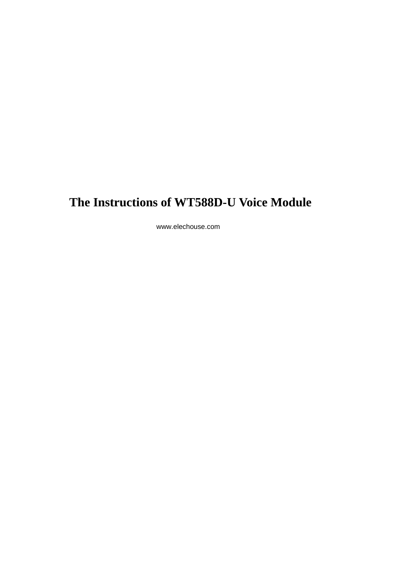# **The Instructions of WT588D-U Voice Module**

www.elechouse.com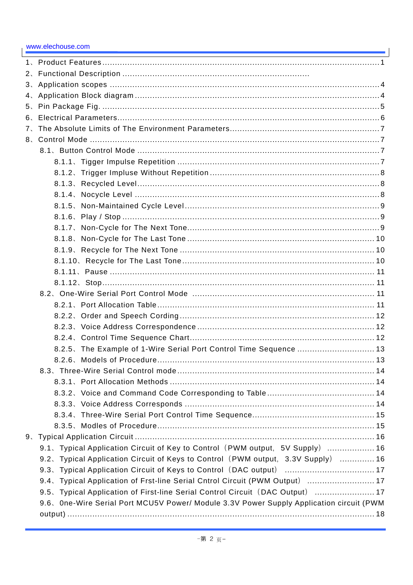| $2_{\sim}$                                                                              |  |
|-----------------------------------------------------------------------------------------|--|
|                                                                                         |  |
|                                                                                         |  |
| 5 <sub>1</sub>                                                                          |  |
| 6.                                                                                      |  |
|                                                                                         |  |
|                                                                                         |  |
|                                                                                         |  |
|                                                                                         |  |
|                                                                                         |  |
|                                                                                         |  |
|                                                                                         |  |
|                                                                                         |  |
|                                                                                         |  |
|                                                                                         |  |
|                                                                                         |  |
|                                                                                         |  |
|                                                                                         |  |
|                                                                                         |  |
|                                                                                         |  |
|                                                                                         |  |
|                                                                                         |  |
|                                                                                         |  |
|                                                                                         |  |
|                                                                                         |  |
|                                                                                         |  |
|                                                                                         |  |
|                                                                                         |  |
|                                                                                         |  |
|                                                                                         |  |
|                                                                                         |  |
|                                                                                         |  |
|                                                                                         |  |
|                                                                                         |  |
| 9.1. Typical Application Circuit of Key to Control (PWM output, 5V Supply)  16          |  |
| 9.2. Typical Application Circuit of Keys to Control (PWM output, 3.3V Supply)  16       |  |
| 9.3. Typical Application Circuit of Keys to Control (DAC output)  17                    |  |
| 9.4. Typical Application of Frst-line Serial Cntrol Circuit (PWM Output)  17            |  |
| 9.5. Typical Application of First-line Serial Control Circuit (DAC Output)  17          |  |
| 9.6、One-Wire Serial Port MCU5V Power/ Module 3.3V Power Supply Application circuit (PWM |  |
|                                                                                         |  |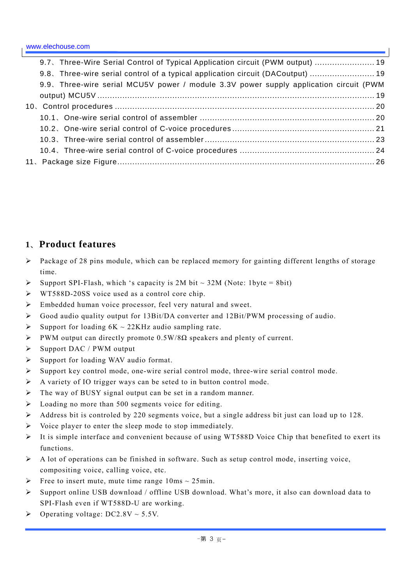| 9.7. Three-Wire Serial Control of Typical Application circuit (PWM output)  19         |  |
|----------------------------------------------------------------------------------------|--|
| 9.8. Three-wire serial control of a typical application circuit (DACoutput)  19        |  |
| 9.9. Three-wire serial MCU5V power / module 3.3V power supply application circuit (PWM |  |
|                                                                                        |  |
|                                                                                        |  |
|                                                                                        |  |
|                                                                                        |  |
|                                                                                        |  |
|                                                                                        |  |
|                                                                                        |  |
|                                                                                        |  |

### **1**、**Product features**

- $\triangleright$  Package of 28 pins module, which can be replaced memory for gainting different lengths of storage time.
- $\triangleright$  Support SPI-Flash, which 's capacity is 2M bit ~ 32M (Note: 1byte = 8bit)
- ¾ WT588D-20SS voice used as a control core chip.
- $\triangleright$  Embedded human voice processor, feel very natural and sweet.
- $\triangleright$  Good audio quality output for 13Bit/DA converter and 12Bit/PWM processing of audio.
- $\triangleright$  Support for loading 6K ~ 22KHz audio sampling rate.
- $\triangleright$  PWM output can directly promote 0.5W/8 $\Omega$  speakers and plenty of current.
- $\triangleright$  Support DAC / PWM output
- $\triangleright$  Support for loading WAV audio format.
- ¾ Support key control mode, one-wire serial control mode, three-wire serial control mode.
- $\triangleright$  A variety of IO trigger ways can be seted to in button control mode.
- $\triangleright$  The way of BUSY signal output can be set in a random manner.
- $\blacktriangleright$  Loading no more than 500 segments voice for editing.
- ¾ Address bit is controled by 220 segments voice, but a single address bit just can load up to 128.
- $\triangleright$  Voice player to enter the sleep mode to stop immediately.
- ¾ It is simple interface and convenient because of using WT588D Voice Chip that benefited to exert its functions.
- $\triangleright$  A lot of operations can be finished in software. Such as setup control mode, inserting voice, compositing voice, calling voice, etc.
- $\triangleright$  Free to insert mute, mute time range 10ms ~ 25min.
- ¾ Support online USB download / offline USB download. What's more, it also can download data to SPI-Flash even if WT588D-U are working.
- $\triangleright$  Operating voltage: DC2.8V ~ 5.5V.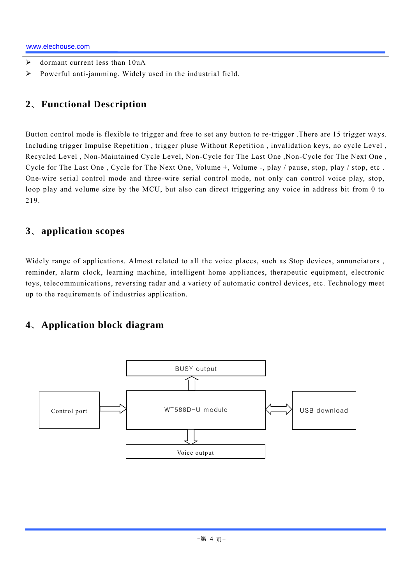- $\triangleright$  dormant current less than 10uA
- $\triangleright$  Powerful anti-jamming. Widely used in the industrial field.

### **2**、**Functional Description**

Button control mode is flexible to trigger and free to set any button to re-trigger .There are 15 trigger ways. Including trigger Impulse Repetition , trigger pluse Without Repetition , invalidation keys, no cycle Level , Recycled Level , Non-Maintained Cycle Level, Non-Cycle for The Last One ,Non-Cycle for The Next One , Cycle for The Last One , Cycle for The Next One, Volume +, Volume -, play / pause, stop, play / stop, etc . One-wire serial control mode and three-wire serial control mode, not only can control voice play, stop, loop play and volume size by the MCU, but also can direct triggering any voice in address bit from 0 to 219.

### **3**、**application scopes**

Widely range of applications. Almost related to all the voice places, such as Stop devices, annunciators , reminder, alarm clock, learning machine, intelligent home appliances, therapeutic equipment, electronic toys, telecommunications, reversing radar and a variety of automatic control devices, etc. Technology meet up to the requirements of industries application.

### **4**、**Application block diagram**

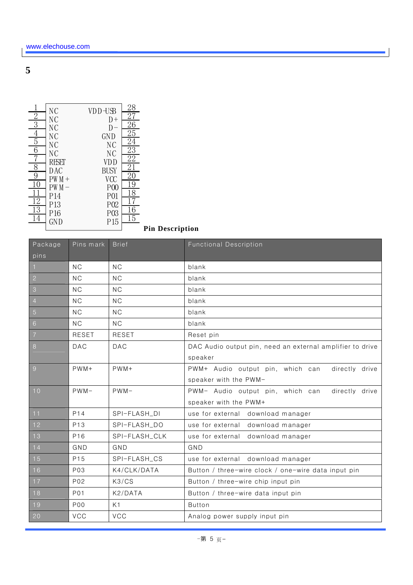| $\overline{2}$<br>$\overline{3}$<br>$\overline{4}$<br>5<br>6<br>7<br>8<br>$\overline{9}$<br>10<br>11<br>12<br>13 | N <sub>C</sub><br>ΝC<br>NC<br>N <sub>C</sub><br>NC<br>NС<br>RESET<br>DAC<br>$PW M +$<br>PW M<br>P <sub>14</sub><br>P <sub>13</sub> | VDD-USB<br>$D+$<br>I)<br>GND<br>NC<br>NC<br><b>VDD</b><br>BUSY<br>VCC<br>P <sub>00</sub><br>P01<br>P02 | 28<br>27<br>26<br>25<br>24<br>23<br>22<br>21<br>$\overline{20}$<br>19<br>18<br>17<br>16 |
|------------------------------------------------------------------------------------------------------------------|------------------------------------------------------------------------------------------------------------------------------------|--------------------------------------------------------------------------------------------------------|-----------------------------------------------------------------------------------------|
| 14                                                                                                               | P <sub>16</sub><br><b>GND</b>                                                                                                      | P03<br>P <sub>15</sub>                                                                                 | 15                                                                                      |

**Pin Description**

| Package                 | Pins mark       | <b>Brief</b>  | <b>Functional Description</b>                             |  |  |
|-------------------------|-----------------|---------------|-----------------------------------------------------------|--|--|
| pins                    |                 |               |                                                           |  |  |
| $\vert$ 1               | <b>NC</b>       | <b>NC</b>     | blank                                                     |  |  |
| $\boxed{2}$             | NC              | NC            | blank                                                     |  |  |
| $\overline{\mathbf{3}}$ | NC              | NC            | blank                                                     |  |  |
| $\boxed{4}$             | <b>NC</b>       | <b>NC</b>     | blank                                                     |  |  |
| $\boxed{5}$             | <b>NC</b>       | <b>NC</b>     | blank                                                     |  |  |
| 6                       | NC              | NC            | blank                                                     |  |  |
|                         | <b>RESET</b>    | <b>RESET</b>  | Reset pin                                                 |  |  |
| 8                       | <b>DAC</b>      | <b>DAC</b>    | DAC Audio output pin, need an external amplifier to drive |  |  |
|                         |                 |               | speaker                                                   |  |  |
| $\overline{9}$          | $PWM+$          | $PWM+$        | PWM+ Audio output pin, which can<br>directly drive        |  |  |
|                         |                 |               | speaker with the PWM-                                     |  |  |
| 10                      | $PWM -$         | $PWM-$        | PWM- Audio output pin, which can<br>directly drive        |  |  |
|                         |                 |               | speaker with the PWM+                                     |  |  |
| 11                      | P <sub>14</sub> | SPI-FLASH DI  | use for external download manager                         |  |  |
| $\boxed{12}$            | P <sub>13</sub> | SPI-FLASH_DO  | use for external download manager                         |  |  |
| $13$                    | P <sub>16</sub> | SPI-FLASH_CLK | use for external download manager                         |  |  |
| $14$                    | GND             | GND           | GND                                                       |  |  |
| $15$                    | P <sub>15</sub> | SPI-FLASH_CS  | use for external download manager                         |  |  |
| $16$                    | P03             | K4/CLK/DATA   | Button / three-wire clock / one-wire data input pin       |  |  |
| $\boxed{17}$            | P <sub>02</sub> | K3/CS         | Button / three-wire chip input pin                        |  |  |
| $18$                    | P01             | K2/DATA       | Button / three-wire data input pin                        |  |  |
| $19$                    | <b>P00</b>      | K1            | <b>Button</b>                                             |  |  |
| 20                      | <b>VCC</b>      | <b>VCC</b>    | Analog power supply input pin                             |  |  |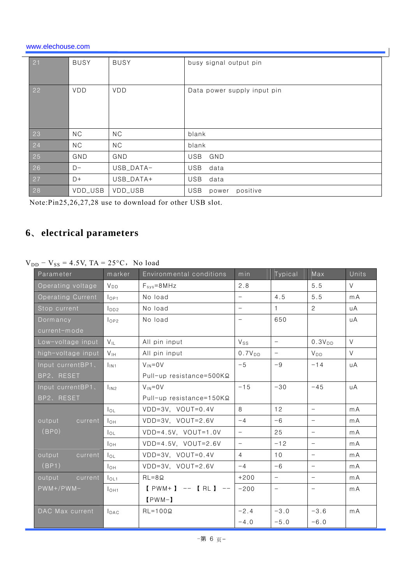| $\boxed{21}$ | <b>BUSY</b> | <b>BUSY</b> | busy signal output pin          |  |  |  |  |
|--------------|-------------|-------------|---------------------------------|--|--|--|--|
| 22           | <b>VDD</b>  | <b>VDD</b>  | Data power supply input pin     |  |  |  |  |
| 23           | NC.         | ΝC          | blank                           |  |  |  |  |
| 24           | NC.         | ΝC          | blank                           |  |  |  |  |
| 25           | GND         | GND         | <b>USB</b><br>GND               |  |  |  |  |
| 26           | $D-$        | USB_DATA-   | <b>USB</b><br>data              |  |  |  |  |
| 27           | $D+$        | USB_DATA+   | <b>USB</b><br>data              |  |  |  |  |
| 28           | VDD_USB     | VDD_USB     | <b>USB</b><br>positive<br>power |  |  |  |  |

Note:Pin25,26,27,28 use to download for other USB slot.

## **6**、**electrical parameters**

| $V_{DD} - V_{SS} = 4.5V$ , TA = 25°C, No load |  |
|-----------------------------------------------|--|
|                                               |  |

| Parameter                                        | marker           | Environmental conditions            | min                | Typical                  | Max                      | Units  |
|--------------------------------------------------|------------------|-------------------------------------|--------------------|--------------------------|--------------------------|--------|
| Operating voltage                                | $V_{DD}$         | $F_{sys} = 8 MHz$                   | 2.8                |                          | 5.5                      | $\vee$ |
| No load<br><b>Operating Current</b><br>$1_{OP1}$ |                  |                                     | $\equiv$           | 4.5                      | 5.5                      | mA     |
| Stop current                                     | $1_{D22}$        | No load                             | $\qquad \qquad -$  | $\mathbf{1}$             | $\overline{2}$           | uA     |
| Dormancy                                         | $1_{OP2}$        | No load                             | $\qquad \qquad -$  | 650                      |                          | uA     |
| current-mode                                     |                  |                                     |                    |                          |                          |        |
| Low-voltage input                                | $V_{\text{II}}$  | All pin input                       | $V_{SS}$           | $\overline{\phantom{0}}$ | 0.3V <sub>DD</sub>       | $\vee$ |
| high-voltage input                               | V <sub>IH</sub>  | All pin input                       | 0.7V <sub>DD</sub> | $\overline{\phantom{0}}$ | V <sub>DD</sub>          | V      |
| Input currentBP1,                                | $I_{IN1}$        | $V_{1N} = 0V$                       | $-5$               | $-9$                     | $-14$                    | uA     |
| BP2、RESET                                        |                  | Pull-up resistance=500KΩ            |                    |                          |                          |        |
| Input currentBP1,<br>I <sub>IN2</sub>            |                  | $V_{1N} = 0V$                       | $-15$              | $-30$                    | $-45$                    | uA     |
| BP2、RESET                                        |                  | $P$ ull-up resistance=150K $\Omega$ |                    |                          |                          |        |
|                                                  | $I_{OL}$         | $VDD=3V$ , $VOUT=0.4V$              | 8                  | 12                       | $\equiv$                 | mA     |
| output<br>current                                | $I_{OH}$         | $VDD=3V$ , $VOUT=2.6V$              | $-4$               | $-6$                     | $\overline{\phantom{0}}$ | mA     |
| (BPO)                                            | $I_{OL}$         | $VDD=4.5V$ , $VOUT=1.0V$            | $\qquad \qquad -$  | 25                       | $\overline{\phantom{0}}$ | mA     |
|                                                  | Тон              | $VDD=4.5V$ , $VOUT=2.6V$            | $\equiv$           | $-12$                    | $\qquad \qquad -$        | mA     |
| output<br>current                                | $I_{OL}$         | $VDD=3V$ , $VOUT=0.4V$              | $\overline{4}$     | 10                       | $\equiv$                 | mA     |
| (BP1)                                            | $I_{OH}$         | VDD=3V, VOUT=2.6V                   | $-4$               | $-6$                     | $\overline{\phantom{0}}$ | mA     |
| output<br>current                                | $I_{OL1}$        | $RL = 8 \Omega$                     | $+200$             | $\overline{\phantom{0}}$ | $\overline{\phantom{0}}$ | mA     |
| $PWM+/PWM-$                                      | $I_{OH1}$        | $[$ PWM+ $]$ -- $[$ RL $]$ --       | $-200$             | $\equiv$                 | $\overline{\phantom{0}}$ | mA     |
|                                                  |                  | $[$ PWM- $]$                        |                    |                          |                          |        |
| DAC Max current                                  | $I_{\text{DAC}}$ | $RL = 100 \Omega$                   | $-2.4$             | $-3.0$                   | $-3.6$                   | mA     |
|                                                  |                  |                                     | $-4.0$             | $-5.0$                   | $-6.0$                   |        |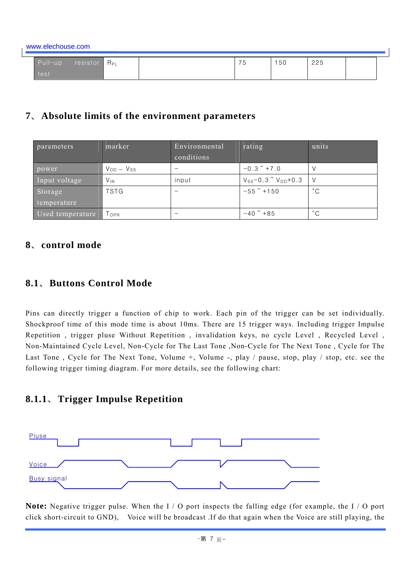www.elechouse.com

| Pull-up | resistor | $\P$ $\mathsf{R}_{\mathsf{PL}}$ | $ -$<br>◡ | 50 | 225 |  |
|---------|----------|---------------------------------|-----------|----|-----|--|
| test    |          |                                 |           |    |     |  |

#### **7**、**Absolute limits of the environment parameters**

| parameters       | marker            | Environmental | rating                              | units        |
|------------------|-------------------|---------------|-------------------------------------|--------------|
|                  |                   | conditions    |                                     |              |
| power            | $V_{DD} = V_{SS}$ |               | $-0.3$ $+7.0$                       |              |
| Input voltage    | $V_{IN}$          | input         | $V_{SS}$ -0.3 $\tilde{V}_{DD}$ +0.3 |              |
| Storage          | <b>TSTG</b>       |               | $-55$ $+150$                        | $^{\circ}$ C |
| temperature      |                   |               |                                     |              |
| Used temperature | OPR               |               | $-40$ $+85$                         | $^{\circ}$ C |

#### **8**、**control mode**

#### **8.1**、**Buttons Control Mode**

Pins can directly trigger a function of chip to work. Each pin of the trigger can be set individually. Shockproof time of this mode time is about 10ms. There are 15 trigger ways. Including trigger Impulse Repetition , trigger pluse Without Repetition , invalidation keys, no cycle Level , Recycled Level , Non-Maintained Cycle Level, Non-Cycle for The Last Tone ,Non-Cycle for The Next Tone, Cycle for The Last Tone, Cycle for The Next Tone, Volume +, Volume -, play / pause, stop, play / stop, etc. see the following trigger timing diagram. For more details, see the following chart:

### **8.1.1**、**Trigger Impulse Repetition**



**Note:** Negative trigger pulse. When the I / O port inspects the falling edge (for example, the I / O port click short-circuit to GND), Voice will be broadcast .If do that again when the Voice are still playing, the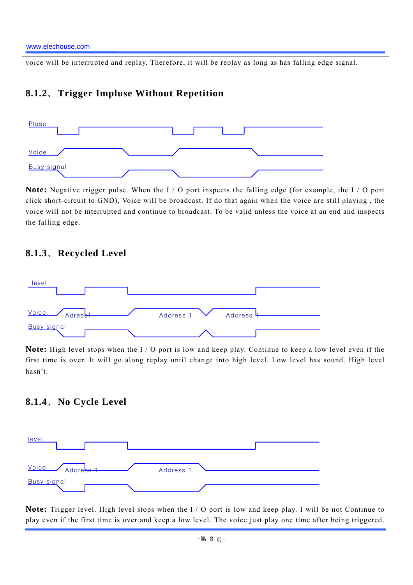voice will be interrupted and replay. Therefore, it will be replay as long as has falling edge signal.

#### **8.1.2**、**Trigger Impluse Without Repetition**



**Note:** Negative trigger pulse. When the I / O port inspects the falling edge (for example, the I / O port click short-circuit to GND), Voice will be broadcast. If do that again when the voice are still playing , the voice will not be interrupted and continue to broadcast. To be valid unless the voice at an end and inspects the falling edge.

#### **8.1.3**、**Recycled Level**



**Note:** High level stops when the I / O port is low and keep play. Continue to keep a low level even if the first time is over. It will go along replay until change into high level. Low level has sound. High level hasn't.

### **8.1.4**、**No Cycle Level**



**Note:** Trigger level. High level stops when the I / O port is low and keep play. I will be not Continue to play even if the first time is over and keep a low level. The voice just play one time after being triggered.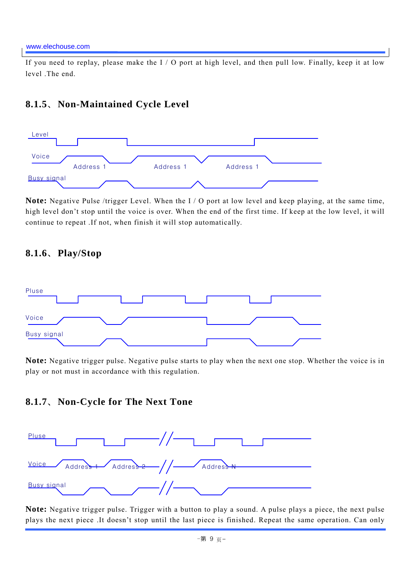If you need to replay, please make the I / O port at high level, and then pull low. Finally, keep it at low level .The end.

#### **8.1.5**、**Non-Maintained Cycle Level**



**Note:** Negative Pulse /trigger Level. When the I / O port at low level and keep playing, at the same time, high level don't stop until the voice is over. When the end of the first time. If keep at the low level, it will continue to repeat .If not, when finish it will stop automatically.

#### **8.1.6**、**Play/Stop**



**Note:** Negative trigger pulse. Negative pulse starts to play when the next one stop. Whether the voice is in play or not must in accordance with this regulation.

**8.1.7**、**Non-Cycle for The Next Tone** 



**Note:** Negative trigger pulse. Trigger with a button to play a sound. A pulse plays a piece, the next pulse plays the next piece .It doesn't stop until the last piece is finished. Repeat the same operation. Can only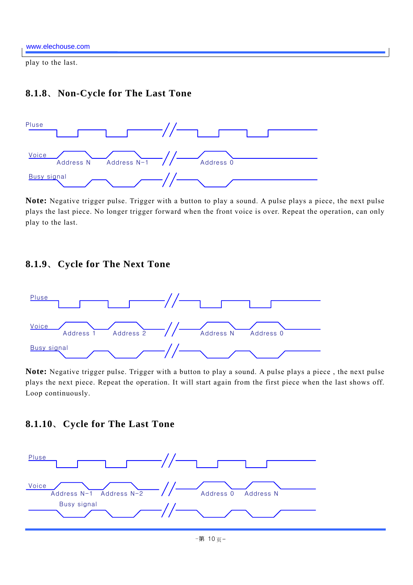play to the last.

#### **8.1.8**、**Non-Cycle for The Last Tone**



**Note:** Negative trigger pulse. Trigger with a button to play a sound. A pulse plays a piece, the next pulse plays the last piece. No longer trigger forward when the front voice is over. Repeat the operation, can only play to the last.

### **8.1.9**、**Cycle for The Next Tone**



**Note:** Negative trigger pulse. Trigger with a button to play a sound. A pulse plays a piece , the next pulse plays the next piece. Repeat the operation. It will start again from the first piece when the last shows off. Loop continuously.

### **8.1.10**、**Cycle for The Last Tone**

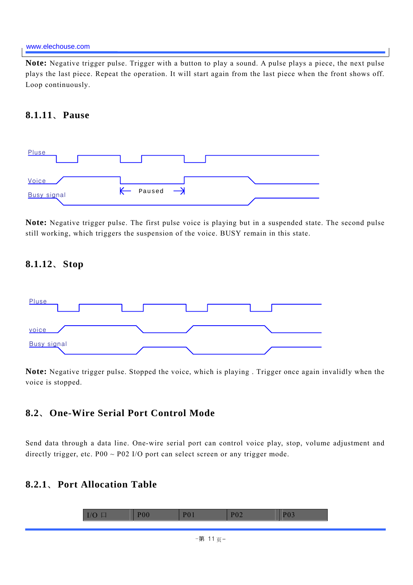**Note:** Negative trigger pulse. Trigger with a button to play a sound. A pulse plays a piece, the next pulse plays the last piece. Repeat the operation. It will start again from the last piece when the front shows off. Loop continuously.

#### **8.1.11**、**Pause**



**Note:** Negative trigger pulse. The first pulse voice is playing but in a suspended state. The second pulse still working, which triggers the suspension of the voice. BUSY remain in this state.

#### **8.1.12**、**Stop**



**Note:** Negative trigger pulse. Stopped the voice, which is playing . Trigger once again invalidly when the voice is stopped.

### **8.2**、**One-Wire Serial Port Control Mode**

Send data through a data line. One-wire serial port can control voice play, stop, volume adjustment and directly trigger, etc.  $P00 \sim P02$  I/O port can select screen or any trigger mode.

#### **8.2.1**、**Port Allocation Table**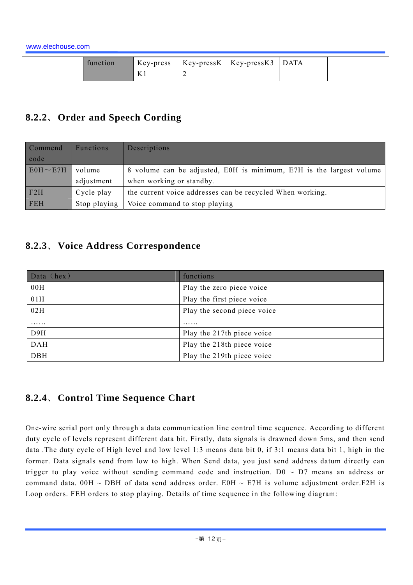www.elechouse.com

| function |  | Key-press   Key-pressK   Key-pressK3   DATA |  |
|----------|--|---------------------------------------------|--|
|          |  |                                             |  |

### **8.2.2**、**Order and Speech Cording**

| Commend        | <b>Functions</b> | Descriptions                                                        |
|----------------|------------------|---------------------------------------------------------------------|
| code           |                  |                                                                     |
| $EOH \sim E7H$ | volume           | 8 volume can be adjusted, EOH is minimum, E7H is the largest volume |
|                | adjustment       | when working or standby.                                            |
| F2H            | Cycle play       | the current voice addresses can be recycled When working.           |
| <b>FEH</b>     | Stop playing     | Voice command to stop playing                                       |

### **8.2.3**、**Voice Address Correspondence**

| Data (hex) | functions                   |
|------------|-----------------------------|
| 00H        | Play the zero piece voice   |
| 01H        | Play the first piece voice  |
| 02H        | Play the second piece voice |
| .          | .                           |
| D9H        | Play the 217th piece voice  |
| <b>DAH</b> | Play the 218th piece voice  |
| <b>DBH</b> | Play the 219th piece voice  |

### **8.2.4**、**Control Time Sequence Chart**

One-wire serial port only through a data communication line control time sequence. According to different duty cycle of levels represent different data bit. Firstly, data signals is drawned down 5ms, and then send data .The duty cycle of High level and low level 1:3 means data bit 0, if 3:1 means data bit 1, high in the former. Data signals send from low to high. When Send data, you just send address datum directly can trigger to play voice without sending command code and instruction.  $D0 \sim D7$  means an address or command data. 00H  $\sim$  DBH of data send address order. E0H  $\sim$  E7H is volume adjustment order. F2H is Loop orders. FEH orders to stop playing. Details of time sequence in the following diagram: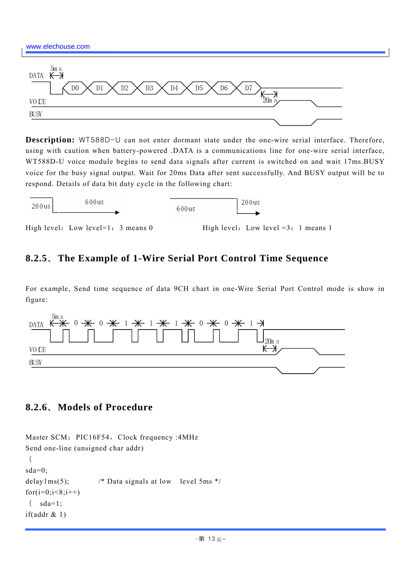



**Description:** WT588D-U can not enter dormant state under the one-wire serial interface. Therefore, using with caution when battery-powered .DATA is a communications line for one-wire serial interface, WT588D-U voice module begins to send data signals after current is switched on and wait 17ms.BUSY voice for the busy signal output. Wait for 20ms Data after sent successfully. And BUSY output will be to respond. Details of data bit duty cycle in the following chart:



## **8.2.5**、**The Example of 1-Wire Serial Port Control Time Sequence**

For example, Send time sequence of data 9CH chart in one-Wire Serial Port Control mode is show in figure:



### **8.2.6**、**Models of Procedure**

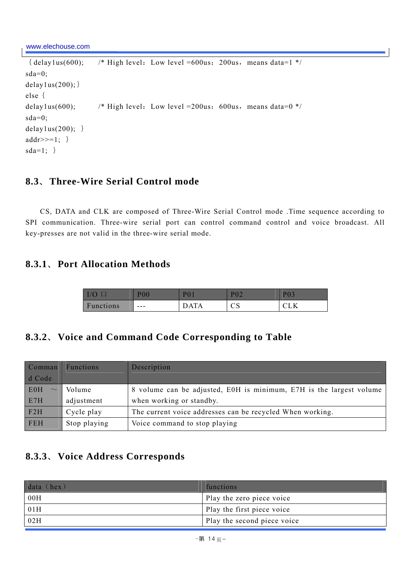{delay1us(600); /\* High level: Low level =600us: 200us, means data=1 \*/ sda=0; delay $1$ us $(200)$ ; } else{ delay1us(600);  $\frac{\text{# High level:} \text{Low level} = 200 \text{us:} \text{600} \text{us,} \text{means data} = 0 \text{ *}}{\text{600}}$ sda=0; delay $1$ us(200); } addr>>= $1;$ } sda= $1$ ;  $\}$ 

### **8.3**、**Three-Wire Serial Control mode**

 CS, DATA and CLK are composed of Three-Wire Serial Control mode .Time sequence according to SPI communication. Three-wire serial port can control command control and voice broadcast. All key-presses are not valid in the three-wire serial mode.

### **8.3.1**、**Port Allocation Methods**

|           | P <sub>00</sub> | DO.<br>v. | D∩∩                 | DΛ  |
|-----------|-----------------|-----------|---------------------|-----|
| Functions | $- - -$         | $\Lambda$ | $\cap$ $\cap$<br>◡◡ | ◡◡▴ |

### **8.3.2**、**Voice and Command Code Corresponding to Table**

| Comman                     | <b>Functions</b> | Description                                                         |
|----------------------------|------------------|---------------------------------------------------------------------|
| d Code                     |                  |                                                                     |
| E <sub>0</sub> H<br>$\sim$ | Volume           | 8 volume can be adjusted, EOH is minimum, E7H is the largest volume |
| E7H                        | adjustment       | when working or standby.                                            |
| F2H                        | Cycle play       | The current voice addresses can be recycled When working.           |
| FEH                        | Stop playing     | Voice command to stop playing                                       |

### **8.3.3**、**Voice Address Corresponds**

| data (hex) | functions                   |
|------------|-----------------------------|
| 00H        | Play the zero piece voice   |
| 01H        | Play the first piece voice  |
| 02H        | Play the second piece voice |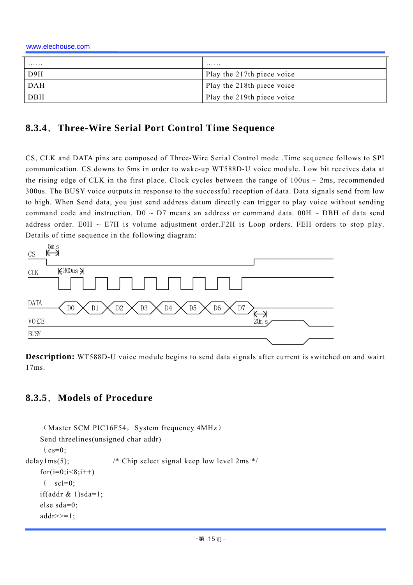| www.elechouse.com |                            |  |
|-------------------|----------------------------|--|
| .                 | .                          |  |
| D9H               | Play the 217th piece voice |  |
| DAH               | Play the 218th piece voice |  |
| DBH               | Play the 219th piece voice |  |

### **8.3.4**、**Three-Wire Serial Port Control Time Sequence**

CS, CLK and DATA pins are composed of Three-Wire Serial Control mode .Time sequence follows to SPI communication. CS downs to 5ms in order to wake-up WT588D-U voice module. Low bit receives data at the rising edge of CLK in the first place. Clock cycles between the range of  $100us \sim 2ms$ , recommended 300us. The BUSY voice outputs in response to the successful reception of data. Data signals send from low to high. When Send data, you just send address datum directly can trigger to play voice without sending command code and instruction. D0  $\sim$  D7 means an address or command data. 00H  $\sim$  DBH of data send address order. E0H  $\sim$  E7H is volume adjustment order. F2H is Loop orders. FEH orders to stop play. Details of time sequence in the following diagram:



**Description:** WT588D-U voice module begins to send data signals after current is switched on and wairt 17ms.

### **8.3.5**、**Models of Procedure**

```
(Master SCM PIC16F54, System frequency 4MHz)
     Send threelines(unsigned char addr) 
     \{c\ s=0;delay1ms(5); \frac{1}{2} /* Chip select signal keep low level 2ms */
    for(i=0; i<8; i++))
     \{ scl=0;
    if(addr & 1)sda=1;
     else sda=0; 
    addr \geq 1:
```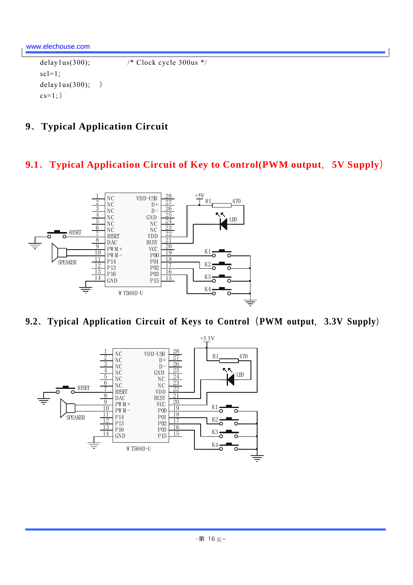delay1us(300);  $\frac{\text{800}}{\text{800}}$  /\* Clock cycle 300us \*/  $scl=1$ ; delay1us(300);  $\}$  $cs=1$ ; }

**9**、**Typical Application Circuit** 

### **9.1**、**Typical Application Circuit of Key to Control(PWM output**,**5V Supply**)



**9.2**、**Typical Application Circuit of Keys to Control**(**PWM output**,**3.3V Supply**)

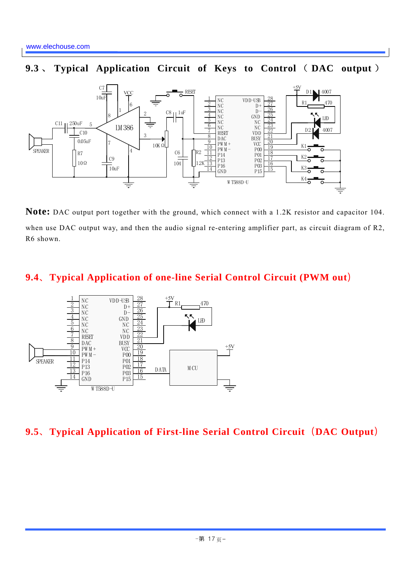### **9.3** 、 **Typical Application Circuit of Keys to Control** ( **DAC output** )



**Note:** DAC output port together with the ground, which connect with a 1.2K resistor and capacitor 104. when use DAC output way, and then the audio signal re-entering amplifier part, as circuit diagram of R2, R6 shown.

### **9.4**、**Typical Application of one-line Serial Control Circuit (PWM out**)



### **9.5**、**Typical Application of First-line Serial Control Circuit**(**DAC Output**)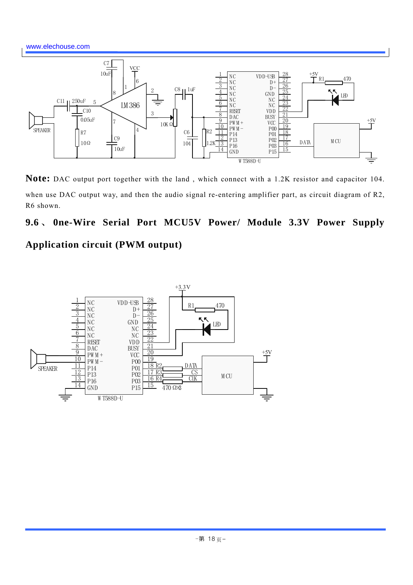

**Note:** DAC output port together with the land , which connect with a 1.2K resistor and capacitor 104. when use DAC output way, and then the audio signal re-entering amplifier part, as circuit diagram of R2, R6 shown.

### **9.6** 、 **0ne-Wire Serial Port MCU5V Power/ Module 3.3V Power Supply**

### **Application circuit (PWM output)**

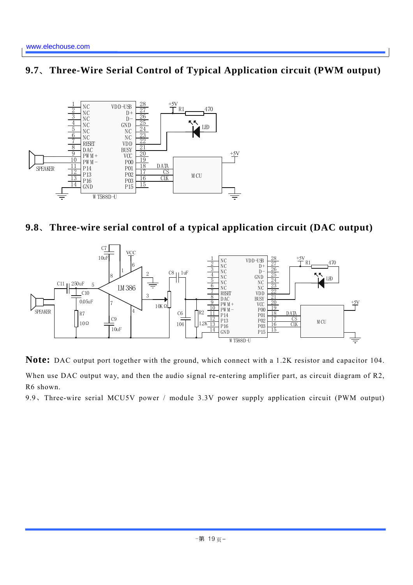



**9.8**、**Three-wire serial control of a typical application circuit (DAC output)**



**Note:** DAC output port together with the ground, which connect with a 1.2K resistor and capacitor 104. When use DAC output way, and then the audio signal re-entering amplifier part, as circuit diagram of R2, R6 shown.

9.9、Three-wire serial MCU5V power / module 3.3V power supply application circuit (PWM output)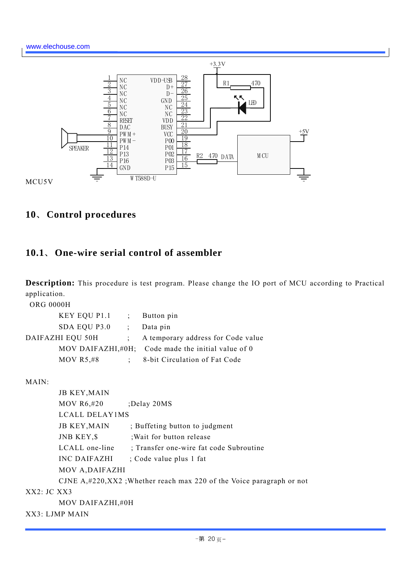

### **10**、**Control procedures**

### **10.1**、**One-wire serial control of assembler**

**Description:** This procedure is test program. Please change the IO port of MCU according to Practical application.

```
 ORG 0000H
```

| KEY EQU P1.1     |  | $\vdots$ Button pin                                     |
|------------------|--|---------------------------------------------------------|
| SDA EQU P3.0     |  | Data pin                                                |
| DAIFAZHI EQU 50H |  | A temporary address for Code value                      |
|                  |  | MOV DAIFAZHI, $\#0H$ ; Code made the initial value of 0 |
| $MOV$ $R5,#8$    |  | : 8-bit Circulation of Fat Code                         |

MAIN:

|                  | <b>JB KEY, MAIN</b> |                                                                          |
|------------------|---------------------|--------------------------------------------------------------------------|
|                  | MOV $R6,#20$        | ;Delay 20MS                                                              |
|                  | LCALL DELAYIMS      |                                                                          |
|                  | <b>JB KEY, MAIN</b> | ; Buffeting button to judgment                                           |
|                  | JNB KEY, \$         | Wait for button release                                                  |
|                  | LCALL one-line      | ; Transfer one-wire fat code Subroutine                                  |
|                  | INC DAIFAZHI        | ; Code value plus 1 fat                                                  |
|                  | MOV A, DAIFAZHI     |                                                                          |
|                  |                     | CJNE $A$ ,#220, XX2; Whether reach max 220 of the Voice paragraph or not |
| $XX2$ : JC $XX3$ |                     |                                                                          |
|                  | MOV DAIFAZHI,#0H    |                                                                          |
| XX3: LIMP MAIN   |                     |                                                                          |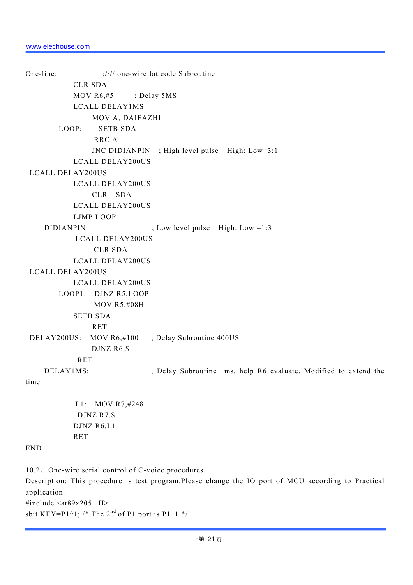One-line: ;//// one-wire fat code Subroutine CLR SDA MOV R6,#5 ; Delay 5MS LCALL DELAY1MS MOV A, DAIFAZHI LOOP: SETB SDA RRC A JNC DIDIANPIN ; High level pulse High: Low=3:1 LCALL DELAY200US LCALL DELAY200US LCALL DELAY200US CLR SDA LCALL DELAY200US LJMP LOOP1 DIDIANPIN ; Low level pulse High: Low =1:3 LCALL DELAY200US CLR SDA LCALL DELAY200US LCALL DELAY200US LCALL DELAY200US LOOP1: DJNZ R5,LOOP MOV R5,#08H SETB SDA RET DELAY200US: MOV R6,#100 ; Delay Subroutine 400US DJNZ R6,\$ RET DELAY1MS: ; Delay Subroutine 1ms, help R6 evaluate, Modified to extend the time

> L1: MOV R7,#248 DJNZ R7,\$ DJNZ R6,L1 RET

END

10.2、One-wire serial control of C-voice procedures

Description: This procedure is test program.Please change the IO port of MCU according to Practical application.

#include  $\langle \text{at}89x2051.H \rangle$ sbit KEY=P1^1; /\* The 2<sup>nd</sup> of P1 port is P1\_1 \*/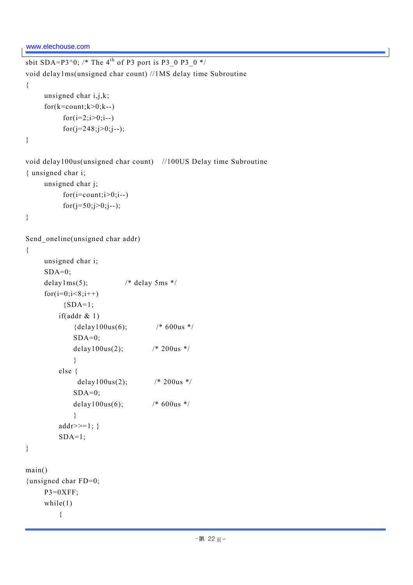```
sbit SDA=P3^0; /* The 4<sup>th</sup> of P3 port is P3_0 P3_0 */
void delay1ms(unsigned char count) //1MS delay time Subroutine 
{ 
     unsigned char i, j, k;
     for(k=count;k>0;k-1)for(i=2; i>0; i-1)
           for(j=248;j>0;j--);
} 
void delay100us(unsigned char count) //100US Delay time Subroutine 
{ unsigned char i; 
      unsigned char j; 
           for(i=count;i>0;i-)for(j=50; j>0; j-);
} 
Send_oneline(unsigned char addr) 
{ 
      unsigned char i; 
     SDA=0; delay1ms(5); /* delay 5ms */ 
     for(i=0; i<8; i++){SDA=1};
           if(addr & 1) 
               {delay100us(6); \frac{1}{8} /* 600us */
              SDA=0;delay100us(2); / \frac{\text{40000} \times 200 \text{ m/s}}{10000 \text{ s}} } 
           else { 
                delay100us(2); /* 200us */
              SDA=0;delay100us(6); \frac{1}{8} /* 600us */
 } 
          addr>>=1; }
          SDA=1;
} 
main() 
{unsigned char FD=0; 
      P3=0XFF; 
      while(1) 
           {
```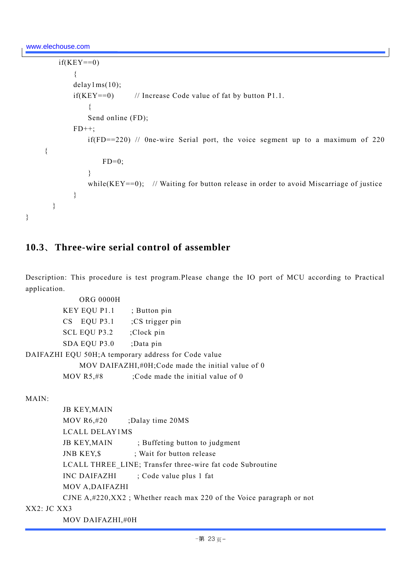```
if(KEY==0)\{ delay1ms(10); 
           if(KEY==0) \frac{1}{2} // Increase Code value of fat by button P1.1.
\{Send online (FD);
           FD++; if(FD==220) // 0ne-wire Serial port, the voice segment up to a maximum of 220 
     { 
                  FD=0;
 } 
              while(KEY==0); // Waiting for button release in order to avoid Miscarriage of justice
 } 
       }
```
### **10.3**、**Three-wire serial control of assembler**

Description: This procedure is test program.Please change the IO port of MCU according to Practical application.

| <b>ORG 0000H</b>             |                                                      |
|------------------------------|------------------------------------------------------|
| <b>KEY EQU P1.1</b>          | ; Button pin                                         |
| <b>EQU P3.1</b><br><b>CS</b> | ;CS trigger pin                                      |
| SCL EQU P3.2                 | :Clock pin                                           |
| SDA EQU P3.0                 | ;Data pin                                            |
|                              | DAIFAZHI EQU 50H; A temporary address for Code value |
|                              | MOV DAIFAZHI,#0H;Code made the initial value of 0    |
| MOV R5, #8                   | ;Code made the initial value of 0                    |
|                              |                                                      |

#### MAIN:

}

| <b>JB KEY, MAIN</b>   |                                                                            |
|-----------------------|----------------------------------------------------------------------------|
| MOV $R6,#20$          | ;Dalay time 20MS                                                           |
| <b>LCALL DELAY1MS</b> |                                                                            |
| JB KEY, MAIN          | ; Buffeting button to judgment                                             |
| JNB KEY, \$           | ; Wait for button release                                                  |
|                       | LCALL THREE LINE; Transfer three-wire fat code Subroutine                  |
| INC DAIFAZHI          | : Code value plus 1 fat                                                    |
| MOV A, DAIFAZHI       |                                                                            |
|                       | CJNE $A, \#220, XX2$ ; Whether reach max 220 of the Voice paragraph or not |
| $XX2$ : JC $XX3$      |                                                                            |

MOV DAIFAZHI,#0H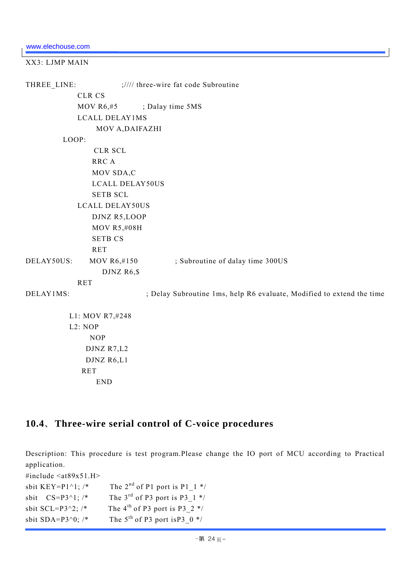```
www.elechouse.com
```
XX3: LJMP MAIN

THREE\_LINE:  $\frac{1}{1}$ ;//// three-wire fat code Subroutine CLR CS MOV R6,#5 ; Dalay time 5MS LCALL DELAY1MS MOV A,DAIFAZHI LOOP: CLR SCL RRC A MOV SDA,C LCALL DELAY50US SETB SCL LCALL DELAY50US DJNZ R5,LOOP MOV R5,#08H SETB CS RET DELAY50US: MOV R6,#150 ; Subroutine of dalay time 300US DJNZ R6,\$ RET DELAY1MS: ; Delay Subroutine 1ms, help R6 evaluate, Modified to extend the time L1: MOV R7,#248 L2: NOP NOP DJNZ R7,L2 DJNZ R6,L1 **RET** END

### **10.4**、**Three-wire serial control of C-voice procedures**

Description: This procedure is test program.Please change the IO port of MCU according to Practical application.

| #include $\langle \text{at} 89 \text{x} 51. \text{H} \rangle$ |                                             |
|---------------------------------------------------------------|---------------------------------------------|
| sbit KEY=P $1^1$ ; /*                                         | The $2^{nd}$ of P1 port is P1 1 */          |
| sbit $CS = P3^1$ ; /*                                         | The $3^{rd}$ of P3 port is P3 1 */          |
| sbit SCL=P3^2; $/*$                                           | The 4 <sup>th</sup> of P3 port is P3 $2$ */ |
| sbit SDA=P3^0; $/*$                                           | The $5^{th}$ of P3 port is P3 0 $*/$        |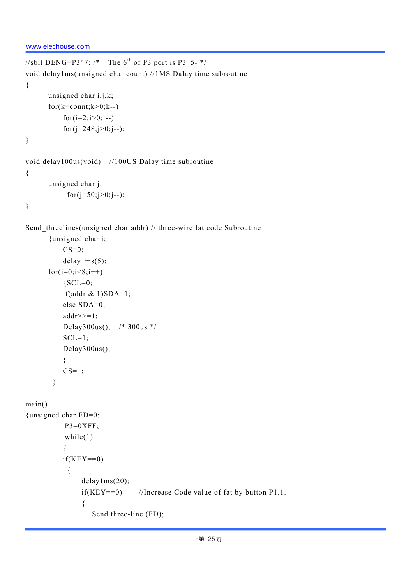```
//sbit DENG=P3^7; /* The 6<sup>th</sup> of P3 port is P3_5- */
void delay1ms(unsigned char count) //1MS Dalay time subroutine 
{ 
       unsigned char i, j, k;
       for(k=count;k>0;k-1)for(i=2; i>0; i-1)
           for(j=248;j>0;j--);
} 
void delay100us(void) //100US Dalay time subroutine 
{ 
        unsigned char j; 
            for(j=50;j>0;j--);
} 
Send_threelines(unsigned char addr) // three-wire fat code Subroutine 
        {unsigned char i; 
           CS=0:
            delay1ms(5); 
       for(i=0; i<8; i++){SCL=0;}if(addr & 1)SDA=1; else SDA=0; 
           addr>>=1;
            Delay300us(); /* 300us */ 
           SCL=1; Delay300us(); 
            } 
           CS=1; } 
main() 
{unsigned char FD=0; 
             P3=0XFF; 
            while(1)\left\{ \begin{array}{cc} 0 & 0 \\ 0 & 0 \end{array} \right\}if(KEY==0)\{ delay1ms(20); 
                 if(KEY==0) //Increase Code value of fat by button P1.1.
\{ Send three-line (FD);
```